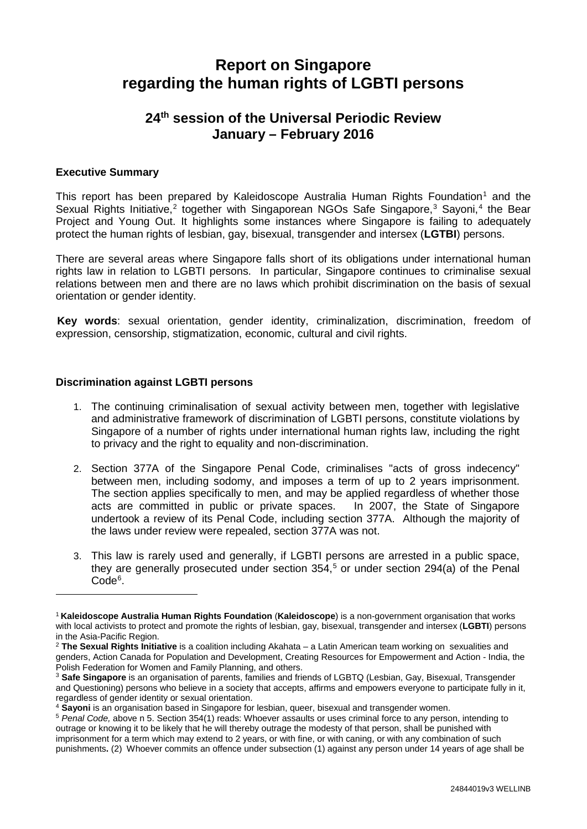# **Report on Singapore regarding the human rights of LGBTI persons**

## **24th session of the Universal Periodic Review January – February 2016**

## **Executive Summary**

-

This report has been prepared by Kaleidoscope Australia Human Rights Foundation<sup>[1](#page-0-0)</sup> and the Sexual Rights Initiative,<sup>[2](#page-0-1)</sup> together with Singaporean NGOs Safe Singapore,<sup>[3](#page-0-2)</sup> Sayoni,<sup>[4](#page-0-3)</sup> the Bear Project and Young Out. It highlights some instances where Singapore is failing to adequately protect the human rights of lesbian, gay, bisexual, transgender and intersex (**LGTBI**) persons.

There are several areas where Singapore falls short of its obligations under international human rights law in relation to LGBTI persons. In particular, Singapore continues to criminalise sexual relations between men and there are no laws which prohibit discrimination on the basis of sexual orientation or gender identity.

**Key words**: sexual orientation, gender identity, criminalization, discrimination, freedom of expression, censorship, stigmatization, economic, cultural and civil rights.

## **Discrimination against LGBTI persons**

- 1. The continuing criminalisation of sexual activity between men, together with legislative and administrative framework of discrimination of LGBTI persons, constitute violations by Singapore of a number of rights under international human rights law, including the right to privacy and the right to equality and non-discrimination.
- 2. Section 377A of the Singapore Penal Code, criminalises "acts of gross indecency" between men, including sodomy, and imposes a term of up to 2 years imprisonment. The section applies specifically to men, and may be applied regardless of whether those acts are committed in public or private spaces. In 2007, the State of Singapore undertook a review of its Penal Code, including section 377A. Although the majority of the laws under review were repealed, section 377A was not.
- <span id="page-0-5"></span>3. This law is rarely used and generally, if LGBTI persons are arrested in a public space, they are generally prosecuted under section 354, [5](#page-0-4) or under section 294(a) of the Penal Code<sup>[6](#page-0-5)</sup>.

<span id="page-0-0"></span><sup>1</sup> **Kaleidoscope Australia Human Rights Foundation** (**Kaleidoscope**) is a non-government organisation that works with local activists to protect and promote the rights of lesbian, gay, bisexual, transgender and intersex (**LGBTI**) persons in the Asia-Pacific Region.

<span id="page-0-1"></span><sup>2</sup> **The Sexual Rights Initiative** is a coalition including Akahata – a Latin American team working on sexualities and genders, Action Canada for Population and Development, Creating Resources for Empowerment and Action - India, the Polish Federation for Women and Family Planning, and others.

<span id="page-0-2"></span><sup>3</sup> **Safe Singapore** is an organisation of parents, families and friends of LGBTQ (Lesbian, Gay, Bisexual, Transgender and Questioning) persons who believe in a society that accepts, affirms and empowers everyone to participate fully in it, regardless of gender identity or sexual orientation.

<span id="page-0-3"></span><sup>4</sup> **Sayoni** is an organisation based in Singapore for lesbian, queer, bisexual and transgender women.

<span id="page-0-4"></span><sup>5</sup> *Penal Code,* above n 5. Section 354(1) reads: Whoever assaults or uses criminal force to any person, intending to outrage or knowing it to be likely that he will thereby outrage the modesty of that person, shall be punished with imprisonment for a term which may extend to 2 years, or with fine, or with caning, or with any combination of such punishments**.** (2) Whoever commits an offence under subsection (1) against any person under 14 years of age shall be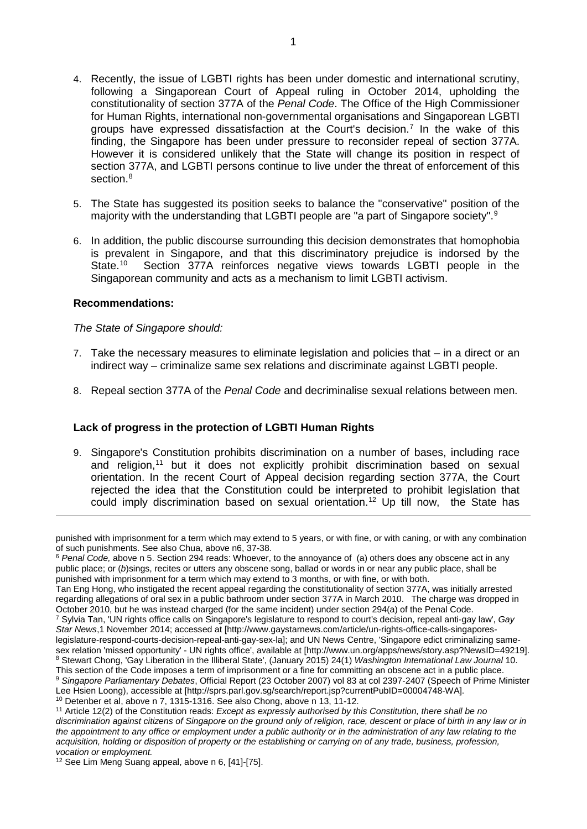- <span id="page-1-5"></span>4. Recently, the issue of LGBTI rights has been under domestic and international scrutiny, following a Singaporean Court of Appeal ruling in October 2014, upholding the constitutionality of section 377A of the *Penal Code*. The Office of the High Commissioner for Human Rights, international non-governmental organisations and Singaporean LGBTI groups have expressed dissatisfaction at the Court's decision.<sup>[7](#page-1-0)</sup> In the wake of this finding, the Singapore has been under pressure to reconsider repeal of section 377A. However it is considered unlikely that the State will change its position in respect of section 377A, and LGBTI persons continue to live under the threat of enforcement of this section. [8](#page-1-1)
- 5. The State has suggested its position seeks to balance the "conservative" position of the majority with the understanding that LGBTI people are "a part of Singapore society".<sup>[9](#page-1-2)</sup>
- 6. In addition, the public discourse surrounding this decision demonstrates that homophobia is prevalent in Singapore, and that this discriminatory prejudice is indorsed by the State.<sup>10</sup> Section 377A reinforces negative views towards LGBTI people in the Section 377A reinforces negative views towards LGBTI people in the Singaporean community and acts as a mechanism to limit LGBTI activism.

## **Recommendations:**

-

*The State of Singapore should:*

- 7. Take the necessary measures to eliminate legislation and policies that in a direct or an indirect way – criminalize same sex relations and discriminate against LGBTI people.
- 8. Repeal section 377A of the *Penal Code* and decriminalise sexual relations between men.

## **Lack of progress in the protection of LGBTI Human Rights**

9. Singapore's Constitution prohibits discrimination on a number of bases, including race and religion, [11](#page-1-4) but it does not explicitly prohibit discrimination based on sexual orientation. In the recent Court of Appeal decision regarding section 377A, the Court rejected the idea that the Constitution could be interpreted to prohibit legislation that could imply discrimination based on sexual orientation. [12](#page-1-5) Up till now, the State has

punished with imprisonment for a term which may extend to 5 years, or with fine, or with caning, or with any combination of such punishments. See also Chua, above n6, 37-38.

<sup>&</sup>lt;sup>6</sup> Penal Code, above n 5. Section 294 reads: Whoever, to the annoyance of (a) others does any obscene act in any public place; or (*b*)sings, recites or utters any obscene song, ballad or words in or near any public place, shall be punished with imprisonment for a term which may extend to 3 months, or with fine, or with both.

Tan Eng Hong, who instigated the recent appeal regarding the constitutionality of section 377A, was initially arrested regarding allegations of oral sex in a public bathroom under section 377A in March 2010. The charge was dropped in<br>October 2010, but he was instead charged (for the same incident) under section 294(a) of the Penal Code.

<span id="page-1-0"></span><sup>7</sup> Sylvia Tan, 'UN rights office calls on Singapore's legislature to respond to court's decision, repeal anti-gay law', Gay *Star News*,1 November 2014; accessed at [http://www.gaystarnews.com/article/un-rights-office-calls-singaporeslegislature-respond-courts-decision-repeal-anti-gay-sex-la]; and UN News Centre, 'Singapore edict criminalizing same-<br>sex relation 'missed opportunity' - UN rights office', available at [http://www.un.org/apps/news/story.a <sup>8</sup> Stewart Chong, 'Gay Liberation in the Illiberal State', (January 2015) 24(1) Washington International Law Journal 10.

<span id="page-1-2"></span><span id="page-1-1"></span>This section of the Code imposes a term of imprisonment or a fine for committing an obscene act in a public place. <sup>9</sup> *Singapore Parliamentary Debates*, Official Report (23 October 2007) vol 83 at col 2397-2407 (Speech of Prime Minister

<span id="page-1-4"></span><span id="page-1-3"></span><sup>&</sup>lt;sup>10</sup> Detenber et al, above n 7, 1315-1316. See also Chong, above n 13, 11-12.<br><sup>11</sup> Article 12(2) of the Constitution reads: *Except as expressly authorised by this Constitution, there shall be no discrimination against citizens of Singapore on the ground only of religion, race, descent or place of birth in any law or in the appointment to any office or employment under a public authority or in the administration of any law relating to the acquisition, holding or disposition of property or the establishing or carrying on of any trade, business, profession, vocation or employment.*

<sup>12</sup> See Lim Meng Suang appeal, above n 6, [41]-[75].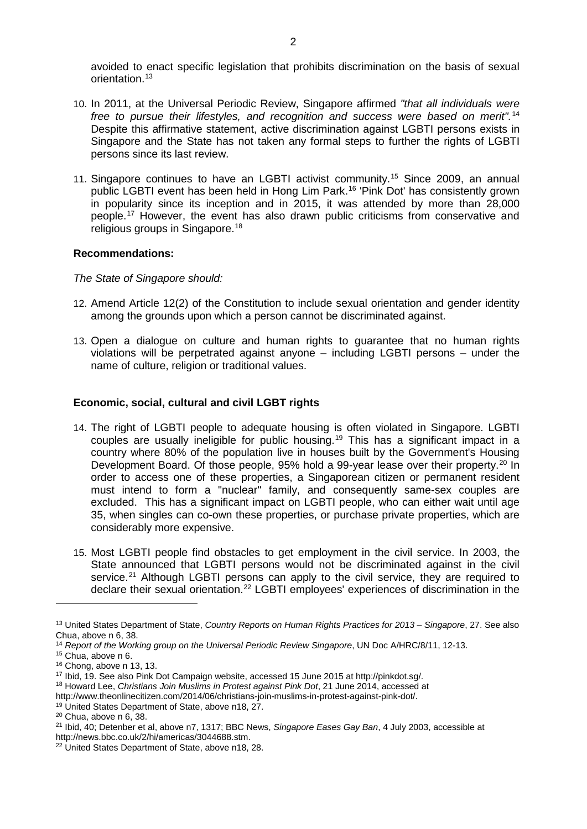avoided to enact specific legislation that prohibits discrimination on the basis of sexual orientation.[13](#page-2-0) 

- 10. In 2011, at the Universal Periodic Review, Singapore affirmed *"that all individuals were free to pursue their lifestyles, and recognition and success were based on merit".* [14](#page-2-1) Despite this affirmative statement, active discrimination against LGBTI persons exists in Singapore and the State has not taken any formal steps to further the rights of LGBTI persons since its last review.
- 11. Singapore continues to have an LGBTI activist community[.15](#page-2-2) Since 2009, an annual public LGBTI event has been held in Hong Lim Park.[16](#page-2-3) 'Pink Dot' has consistently grown in popularity since its inception and in 2015, it was attended by more than 28,000 people.[17](#page-2-4) However, the event has also drawn public criticisms from conservative and religious groups in Singapore.<sup>[18](#page-2-5)</sup>

## **Recommendations:**

*The State of Singapore should:*

- 12. Amend Article 12(2) of the Constitution to include sexual orientation and gender identity among the grounds upon which a person cannot be discriminated against.
- 13. Open a dialogue on culture and human rights to guarantee that no human rights violations will be perpetrated against anyone – including LGBTI persons – under the name of culture, religion or traditional values.

## **Economic, social, cultural and civil LGBT rights**

- 14. The right of LGBTI people to adequate housing is often violated in Singapore. LGBTI couples are usually ineligible for public housing.<sup>[19](#page-2-6)</sup> This has a significant impact in a country where 80% of the population live in houses built by the Government's Housing Development Board. Of those people, 95% hold a 99-year lease over their property.<sup>[20](#page-2-7)</sup> In order to access one of these properties, a Singaporean citizen or permanent resident must intend to form a "nuclear" family, and consequently same-sex couples are excluded. This has a significant impact on LGBTI people, who can either wait until age 35, when singles can co-own these properties, or purchase private properties, which are considerably more expensive.
- 15. Most LGBTI people find obstacles to get employment in the civil service. In 2003, the State announced that LGBTI persons would not be discriminated against in the civil service.<sup>[21](#page-2-8)</sup> Although LGBTI persons can apply to the civil service, they are required to declare their sexual orientation.<sup>[22](#page-2-9)</sup> LGBTI employees' experiences of discrimination in the

-

<span id="page-2-0"></span><sup>13</sup> United States Department of State, *Country Reports on Human Rights Practices for 2013 – Singapore*, 27. See also

<span id="page-2-2"></span><span id="page-2-1"></span><sup>&</sup>lt;sup>14</sup> Report of the Working group on the Universal Periodic Review Singapore, UN Doc A/HRC/8/11, 12-13.<br><sup>15</sup> Chua, above n 6.<br><sup>16</sup> Chong, above n 13, 13.

<span id="page-2-4"></span><span id="page-2-3"></span><sup>&</sup>lt;sup>17</sup> Ibid, 19. See also Pink Dot Campaign website, accessed 15 June 2015 at http://pinkdot.sg/.

<span id="page-2-5"></span><sup>18</sup> Howard Lee, *Christians Join Muslims in Protest against Pink Dot*, 21 June 2014, accessed at

http://www.theonlinecitizen.com/2014/06/christians-join-muslims-in-protest-against-pink-dot/.<br><sup>19</sup> United States Department of State, above n18, 27.

<span id="page-2-7"></span><span id="page-2-6"></span><sup>20</sup> Chua, above n 6, 38.

<span id="page-2-8"></span><sup>21</sup> Ibid, 40; Detenber et al, above n7, 1317; BBC News, *Singapore Eases Gay Ban*, 4 July 2003, accessible at http://news.bbc.co.uk/2/hi/americas/3044688.stm.

<span id="page-2-9"></span><sup>&</sup>lt;sup>22</sup> United States Department of State, above n18, 28.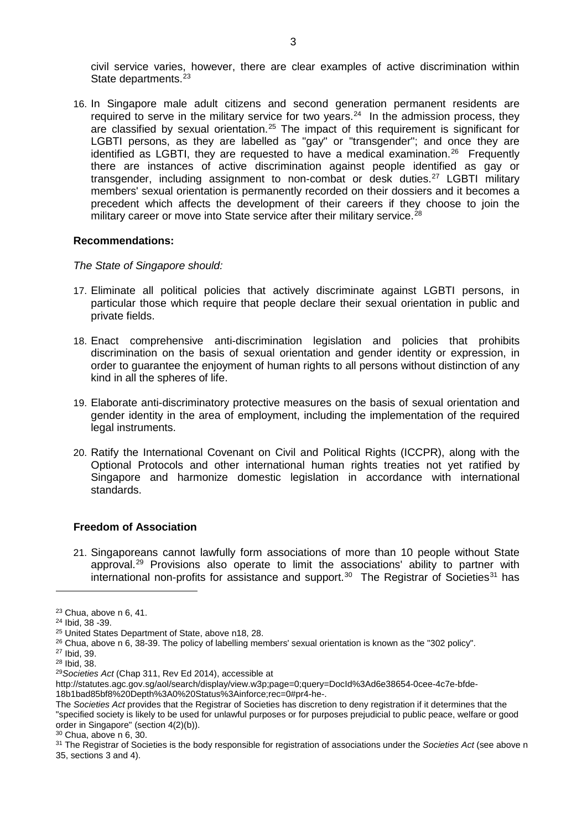civil service varies, however, there are clear examples of active discrimination within State departments.<sup>[23](#page-3-0)</sup>

16. In Singapore male adult citizens and second generation permanent residents are required to serve in the military service for two years.<sup>[24](#page-3-1)</sup> In the admission process, they are classified by sexual orientation.[25](#page-3-2) The impact of this requirement is significant for LGBTI persons, as they are labelled as "gay" or "transgender"; and once they are identified as LGBTI, they are requested to have a medical examination.<sup>[26](#page-3-3)</sup> Frequently there are instances of active discrimination against people identified as gay or transgender, including assignment to non-combat or desk duties.<sup>[27](#page-3-4)</sup> LGBTI military members' sexual orientation is permanently recorded on their dossiers and it becomes a precedent which affects the development of their careers if they choose to join the military career or move into State service after their military service.<sup>[28](#page-3-5)</sup>

#### **Recommendations:**

*The State of Singapore should:*

- 17. Eliminate all political policies that actively discriminate against LGBTI persons, in particular those which require that people declare their sexual orientation in public and private fields.
- 18. Enact comprehensive anti-discrimination legislation and policies that prohibits discrimination on the basis of sexual orientation and gender identity or expression, in order to guarantee the enjoyment of human rights to all persons without distinction of any kind in all the spheres of life.
- 19. Elaborate anti-discriminatory protective measures on the basis of sexual orientation and gender identity in the area of employment, including the implementation of the required legal instruments.
- 20. Ratify the International Covenant on Civil and Political Rights (ICCPR), along with the Optional Protocols and other international human rights treaties not yet ratified by Singapore and harmonize domestic legislation in accordance with international standards.

## **Freedom of Association**

21. Singaporeans cannot lawfully form associations of more than 10 people without State approval. [29](#page-3-6) Provisions also operate to limit the associations' ability to partner with international non-profits for assistance and support.<sup>[30](#page-3-7)</sup> The Registrar of Societies<sup>[31](#page-3-8)</sup> has

-

<span id="page-3-7"></span> $30$  Chua, above n 6, 30.

<span id="page-3-0"></span> $23$  Chua, above n 6, 41.<br> $24$  Ibid, 38 -39.

<span id="page-3-2"></span><span id="page-3-1"></span><sup>25</sup> United States Department of State, above n18, 28.

<span id="page-3-4"></span><span id="page-3-3"></span><sup>&</sup>lt;sup>26</sup> Chua, above n 6, 38-39. The policy of labelling members' sexual orientation is known as the "302 policy".<br><sup>27</sup> Ibid, 39.<br><sup>28</sup> Ibid, 38.

<span id="page-3-6"></span><span id="page-3-5"></span><sup>&</sup>lt;sup>29</sup> Societies Act (Chap 311, Rev Ed 2014), accessible at

http://statutes.agc.gov.sg/aol/search/display/view.w3p;page=0;query=DocId%3Ad6e38654-0cee-4c7e-bfde-18b1bad85bf8%20Depth%3A0%20Status%3Ainforce;rec=0#pr4-he-.

The *Societies Act* provides that the Registrar of Societies has discretion to deny registration if it determines that the "specified society is likely to be used for unlawful purposes or for purposes prejudicial to public peace, welfare or good order in Singapore" (section 4(2)(b)).

<span id="page-3-8"></span><sup>31</sup> The Registrar of Societies is the body responsible for registration of associations under the *Societies Act* (see above n 35, sections 3 and 4).